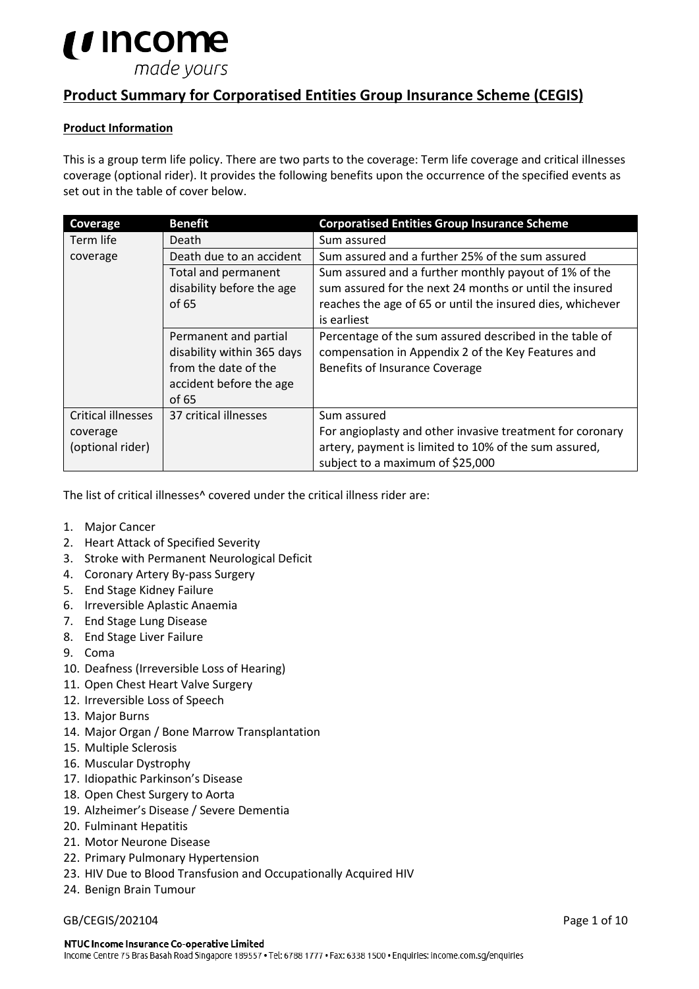# *u* income made yours

# **Product Summary for Corporatised Entities Group Insurance Scheme (CEGIS)**

# **Product Information**

This is a group term life policy. There are two parts to the coverage: Term life coverage and critical illnesses coverage (optional rider). It provides the following benefits upon the occurrence of the specified events as set out in the table of cover below.

| Coverage                  | <b>Benefit</b>             | <b>Corporatised Entities Group Insurance Scheme</b>        |  |  |
|---------------------------|----------------------------|------------------------------------------------------------|--|--|
| Term life                 | Death                      | Sum assured                                                |  |  |
| coverage                  | Death due to an accident   | Sum assured and a further 25% of the sum assured           |  |  |
|                           | Total and permanent        | Sum assured and a further monthly payout of 1% of the      |  |  |
|                           | disability before the age  | sum assured for the next 24 months or until the insured    |  |  |
|                           | of 65                      | reaches the age of 65 or until the insured dies, whichever |  |  |
|                           |                            | is earliest                                                |  |  |
|                           | Permanent and partial      | Percentage of the sum assured described in the table of    |  |  |
|                           | disability within 365 days | compensation in Appendix 2 of the Key Features and         |  |  |
|                           | from the date of the       | Benefits of Insurance Coverage                             |  |  |
|                           | accident before the age    |                                                            |  |  |
|                           | of 65                      |                                                            |  |  |
| <b>Critical illnesses</b> | 37 critical illnesses      | Sum assured                                                |  |  |
| coverage                  |                            | For angioplasty and other invasive treatment for coronary  |  |  |
| (optional rider)          |                            | artery, payment is limited to 10% of the sum assured,      |  |  |
|                           |                            | subject to a maximum of \$25,000                           |  |  |

The list of critical illnesses<sup>^</sup> covered under the critical illness rider are:

- 1. Major Cancer
- 2. Heart Attack of Specified Severity
- 3. Stroke with Permanent Neurological Deficit
- 4. Coronary Artery By-pass Surgery
- 5. End Stage Kidney Failure
- 6. Irreversible Aplastic Anaemia
- 7. End Stage Lung Disease
- 8. End Stage Liver Failure
- 9. Coma
- 10. Deafness (Irreversible Loss of Hearing)
- 11. Open Chest Heart Valve Surgery
- 12. Irreversible Loss of Speech
- 13. Major Burns
- 14. Major Organ / Bone Marrow Transplantation
- 15. Multiple Sclerosis
- 16. Muscular Dystrophy
- 17. Idiopathic Parkinson's Disease
- 18. Open Chest Surgery to Aorta
- 19. Alzheimer's Disease / Severe Dementia
- 20. Fulminant Hepatitis
- 21. Motor Neurone Disease
- 22. Primary Pulmonary Hypertension
- 23. HIV Due to Blood Transfusion and Occupationally Acquired HIV
- 24. Benign Brain Tumour

#### GB/CEGIS/202104 Page 1 of 10

#### NTUC Income Insurance Co-operative Limited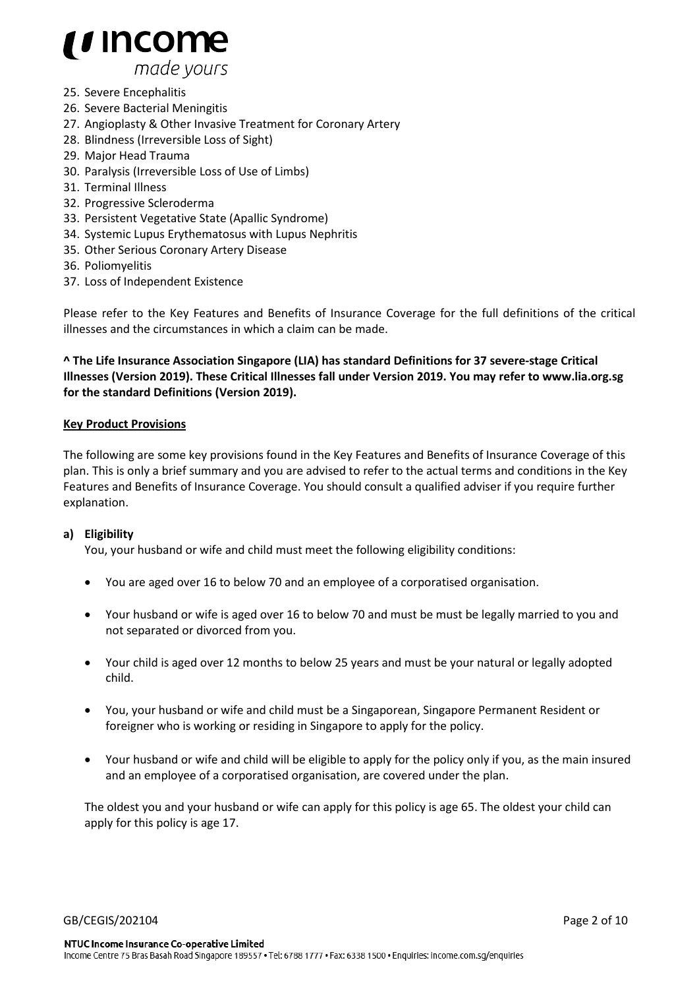

- 25. Severe Encephalitis
- 26. Severe Bacterial Meningitis
- 27. Angioplasty & Other Invasive Treatment for Coronary Artery
- 28. Blindness (Irreversible Loss of Sight)
- 29. Major Head Trauma
- 30. Paralysis (Irreversible Loss of Use of Limbs)
- 31. Terminal Illness
- 32. Progressive Scleroderma
- 33. Persistent Vegetative State (Apallic Syndrome)
- 34. Systemic Lupus Erythematosus with Lupus Nephritis
- 35. Other Serious Coronary Artery Disease
- 36. Poliomyelitis
- 37. Loss of Independent Existence

Please refer to the Key Features and Benefits of Insurance Coverage for the full definitions of the critical illnesses and the circumstances in which a claim can be made.

**^ The Life Insurance Association Singapore (LIA) has standard Definitions for 37 severe-stage Critical Illnesses (Version 2019). These Critical Illnesses fall under Version 2019. You may refer to www.lia.org.sg for the standard Definitions (Version 2019).**

#### **Key Product Provisions**

The following are some key provisions found in the Key Features and Benefits of Insurance Coverage of this plan. This is only a brief summary and you are advised to refer to the actual terms and conditions in the Key Features and Benefits of Insurance Coverage. You should consult a qualified adviser if you require further explanation.

### **a) Eligibility**

You, your husband or wife and child must meet the following eligibility conditions:

- You are aged over 16 to below 70 and an employee of a corporatised organisation.
- Your husband or wife is aged over 16 to below 70 and must be must be legally married to you and not separated or divorced from you.
- Your child is aged over 12 months to below 25 years and must be your natural or legally adopted child.
- You, your husband or wife and child must be a Singaporean, Singapore Permanent Resident or foreigner who is working or residing in Singapore to apply for the policy.
- Your husband or wife and child will be eligible to apply for the policy only if you, as the main insured and an employee of a corporatised organisation, are covered under the plan.

The oldest you and your husband or wife can apply for this policy is age 65. The oldest your child can apply for this policy is age 17.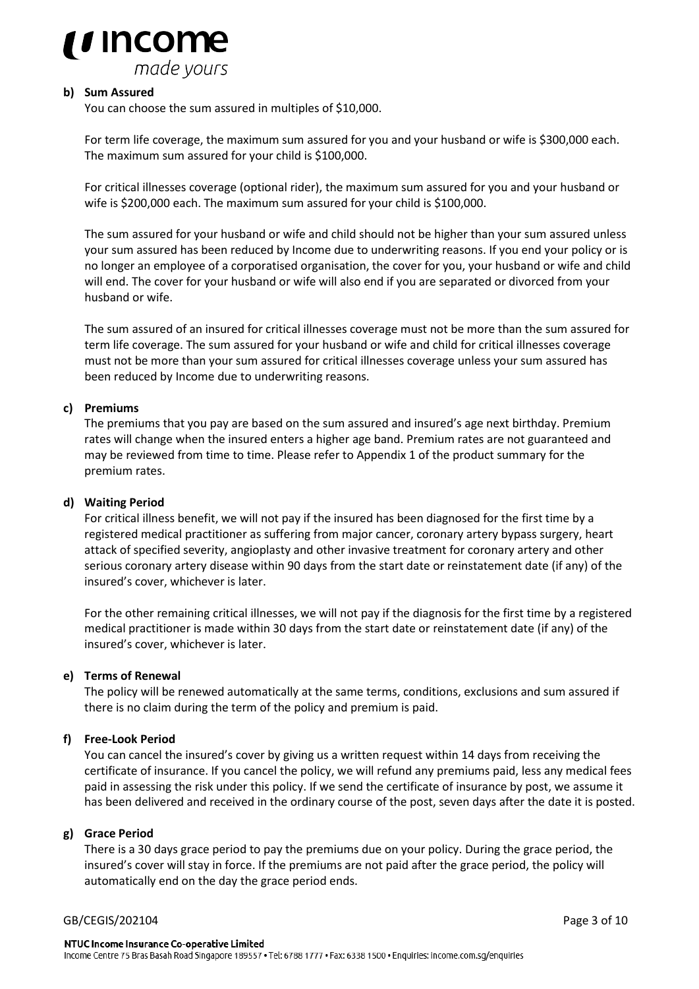

#### **b) Sum Assured**

You can choose the sum assured in multiples of \$10,000.

For term life coverage, the maximum sum assured for you and your husband or wife is \$300,000 each. The maximum sum assured for your child is \$100,000.

For critical illnesses coverage (optional rider), the maximum sum assured for you and your husband or wife is \$200,000 each. The maximum sum assured for your child is \$100,000.

The sum assured for your husband or wife and child should not be higher than your sum assured unless your sum assured has been reduced by Income due to underwriting reasons. If you end your policy or is no longer an employee of a corporatised organisation, the cover for you, your husband or wife and child will end. The cover for your husband or wife will also end if you are separated or divorced from your husband or wife.

The sum assured of an insured for critical illnesses coverage must not be more than the sum assured for term life coverage. The sum assured for your husband or wife and child for critical illnesses coverage must not be more than your sum assured for critical illnesses coverage unless your sum assured has been reduced by Income due to underwriting reasons.

#### **c) Premiums**

The premiums that you pay are based on the sum assured and insured's age next birthday. Premium rates will change when the insured enters a higher age band. Premium rates are not guaranteed and may be reviewed from time to time. Please refer to Appendix 1 of the product summary for the premium rates.

#### **d) Waiting Period**

For critical illness benefit, we will not pay if the insured has been diagnosed for the first time by a registered medical practitioner as suffering from major cancer, coronary artery bypass surgery, heart attack of specified severity, angioplasty and other invasive treatment for coronary artery and other serious coronary artery disease within 90 days from the start date or reinstatement date (if any) of the insured's cover, whichever is later.

For the other remaining critical illnesses, we will not pay if the diagnosis for the first time by a registered medical practitioner is made within 30 days from the start date or reinstatement date (if any) of the insured's cover, whichever is later.

#### **e) Terms of Renewal**

The policy will be renewed automatically at the same terms, conditions, exclusions and sum assured if there is no claim during the term of the policy and premium is paid.

### **f) Free-Look Period**

You can cancel the insured's cover by giving us a written request within 14 days from receiving the certificate of insurance. If you cancel the policy, we will refund any premiums paid, less any medical fees paid in assessing the risk under this policy. If we send the certificate of insurance by post, we assume it has been delivered and received in the ordinary course of the post, seven days after the date it is posted.

#### **g) Grace Period**

There is a 30 days grace period to pay the premiums due on your policy. During the grace period, the insured's cover will stay in force. If the premiums are not paid after the grace period, the policy will automatically end on the day the grace period ends.

#### GB/CEGIS/202104 Page 3 of 10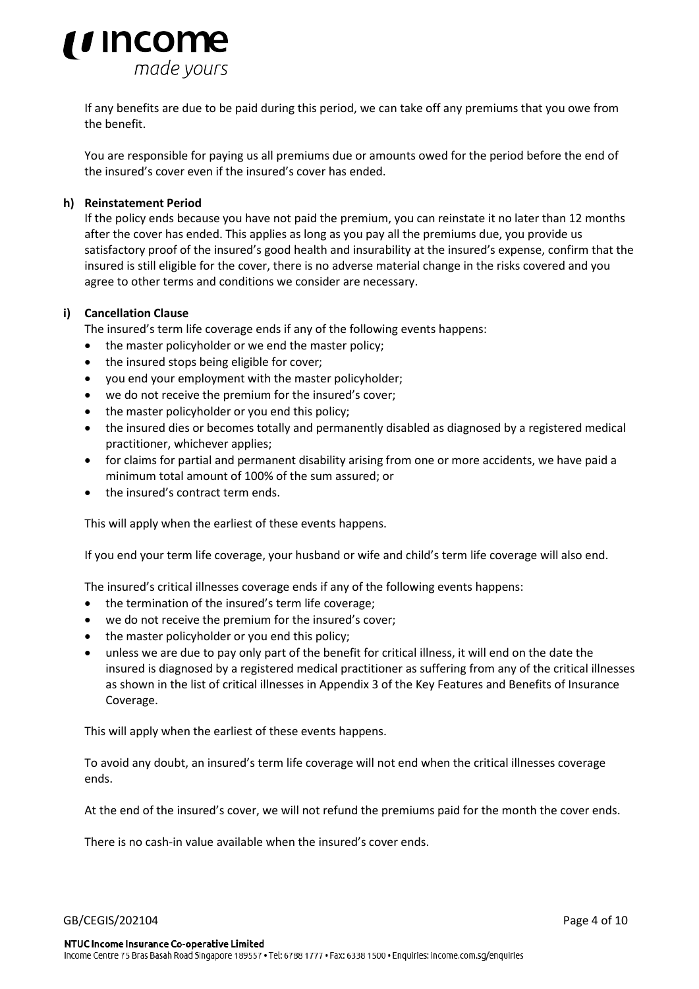

If any benefits are due to be paid during this period, we can take off any premiums that you owe from the benefit.

You are responsible for paying us all premiums due or amounts owed for the period before the end of the insured's cover even if the insured's cover has ended.

#### **h) Reinstatement Period**

If the policy ends because you have not paid the premium, you can reinstate it no later than 12 months after the cover has ended. This applies as long as you pay all the premiums due, you provide us satisfactory proof of the insured's good health and insurability at the insured's expense, confirm that the insured is still eligible for the cover, there is no adverse material change in the risks covered and you agree to other terms and conditions we consider are necessary.

#### **i) Cancellation Clause**

The insured's term life coverage ends if any of the following events happens:

- the master policyholder or we end the master policy;
- the insured stops being eligible for cover;
- you end your employment with the master policyholder;
- we do not receive the premium for the insured's cover:
- the master policyholder or you end this policy;
- the insured dies or becomes totally and permanently disabled as diagnosed by a registered medical practitioner, whichever applies;
- for claims for partial and permanent disability arising from one or more accidents, we have paid a minimum total amount of 100% of the sum assured; or
- the insured's contract term ends.

This will apply when the earliest of these events happens.

If you end your term life coverage, your husband or wife and child's term life coverage will also end.

The insured's critical illnesses coverage ends if any of the following events happens:

- the termination of the insured's term life coverage;
- we do not receive the premium for the insured's cover;
- the master policyholder or you end this policy;
- unless we are due to pay only part of the benefit for critical illness, it will end on the date the insured is diagnosed by a registered medical practitioner as suffering from any of the critical illnesses as shown in the list of critical illnesses in Appendix 3 of the Key Features and Benefits of Insurance Coverage.

This will apply when the earliest of these events happens.

To avoid any doubt, an insured's term life coverage will not end when the critical illnesses coverage ends.

At the end of the insured's cover, we will not refund the premiums paid for the month the cover ends.

There is no cash-in value available when the insured's cover ends.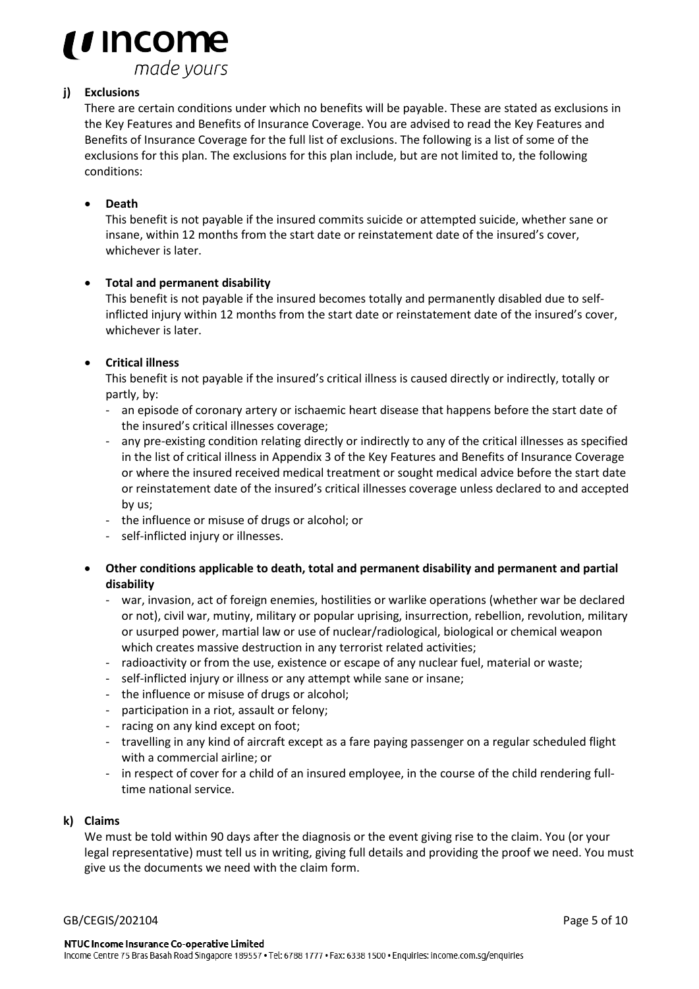

# **j) Exclusions**

There are certain conditions under which no benefits will be payable. These are stated as exclusions in the Key Features and Benefits of Insurance Coverage. You are advised to read the Key Features and Benefits of Insurance Coverage for the full list of exclusions. The following is a list of some of the exclusions for this plan. The exclusions for this plan include, but are not limited to, the following conditions:

# • **Death**

This benefit is not payable if the insured commits suicide or attempted suicide, whether sane or insane, within 12 months from the start date or reinstatement date of the insured's cover, whichever is later.

# • **Total and permanent disability**

This benefit is not payable if the insured becomes totally and permanently disabled due to selfinflicted injury within 12 months from the start date or reinstatement date of the insured's cover, whichever is later.

# • **Critical illness**

This benefit is not payable if the insured's critical illness is caused directly or indirectly, totally or partly, by:

- an episode of coronary artery or ischaemic heart disease that happens before the start date of the insured's critical illnesses coverage;
- any pre-existing condition relating directly or indirectly to any of the critical illnesses as specified in the list of critical illness in Appendix 3 of the Key Features and Benefits of Insurance Coverage or where the insured received medical treatment or sought medical advice before the start date or reinstatement date of the insured's critical illnesses coverage unless declared to and accepted by us;
- the influence or misuse of drugs or alcohol; or
- self-inflicted injury or illnesses.
- **Other conditions applicable to death, total and permanent disability and permanent and partial disability**
	- war, invasion, act of foreign enemies, hostilities or warlike operations (whether war be declared or not), civil war, mutiny, military or popular uprising, insurrection, rebellion, revolution, military or usurped power, martial law or use of nuclear/radiological, biological or chemical weapon which creates massive destruction in any terrorist related activities;
	- radioactivity or from the use, existence or escape of any nuclear fuel, material or waste;
	- self-inflicted injury or illness or any attempt while sane or insane;
	- the influence or misuse of drugs or alcohol;
	- participation in a riot, assault or felony;
	- racing on any kind except on foot;
	- travelling in any kind of aircraft except as a fare paying passenger on a regular scheduled flight with a commercial airline; or
	- in respect of cover for a child of an insured employee, in the course of the child rendering fulltime national service.

### **k) Claims**

We must be told within 90 days after the diagnosis or the event giving rise to the claim. You (or your legal representative) must tell us in writing, giving full details and providing the proof we need. You must give us the documents we need with the claim form.

#### GB/CEGIS/202104 Page 5 of 10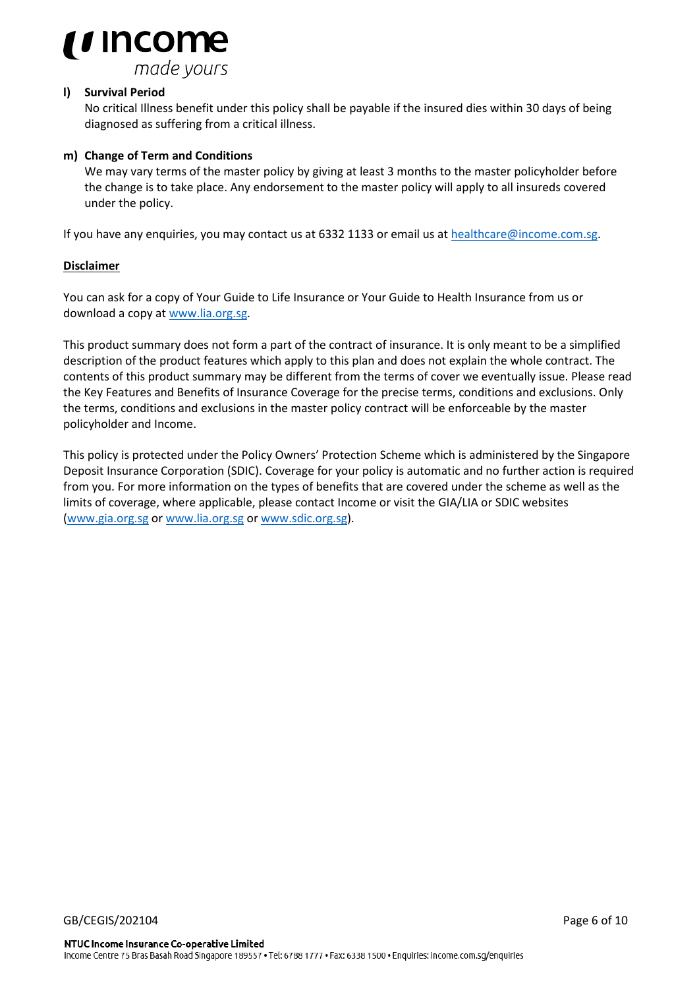

### **l) Survival Period**

No critical Illness benefit under this policy shall be payable if the insured dies within 30 days of being diagnosed as suffering from a critical illness.

### **m) Change of Term and Conditions**

We may vary terms of the master policy by giving at least 3 months to the master policyholder before the change is to take place. Any endorsement to the master policy will apply to all insureds covered under the policy.

If you have any enquiries, you may contact us at 6332 1133 or email us at [healthcare@income.com.sg.](mailto:healthcare@income.com.sg)

### **Disclaimer**

You can ask for a copy of Your Guide to Life Insurance or Your Guide to Health Insurance from us or download a copy at [www.lia.org.sg.](http://www.lia.org.sg/)

This product summary does not form a part of the contract of insurance. It is only meant to be a simplified description of the product features which apply to this plan and does not explain the whole contract. The contents of this product summary may be different from the terms of cover we eventually issue. Please read the Key Features and Benefits of Insurance Coverage for the precise terms, conditions and exclusions. Only the terms, conditions and exclusions in the master policy contract will be enforceable by the master policyholder and Income.

This policy is protected under the Policy Owners' Protection Scheme which is administered by the Singapore Deposit Insurance Corporation (SDIC). Coverage for your policy is automatic and no further action is required from you. For more information on the types of benefits that are covered under the scheme as well as the limits of coverage, where applicable, please contact Income or visit the GIA/LIA or SDIC websites [\(www.gia.org.sg](http://www.gia.org.sg/) or [www.lia.org.sg](http://www.lia.org.sg/) or [www.sdic.org.sg\)](http://www.sdic.org.sg/).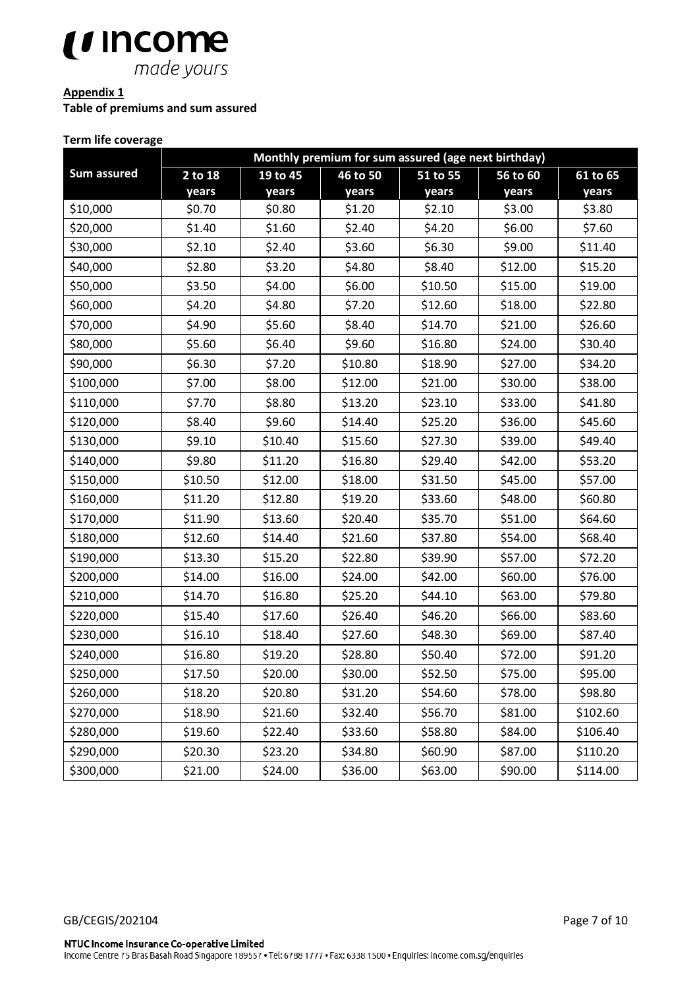

# **Appendix 1**

**Table of premiums and sum assured**

# **Term life coverage**

|             | Monthly premium for sum assured (age next birthday) |          |          |          |          |          |  |
|-------------|-----------------------------------------------------|----------|----------|----------|----------|----------|--|
| Sum assured | 2 to 18                                             | 19 to 45 | 46 to 50 | 51 to 55 | 56 to 60 | 61 to 65 |  |
|             | years                                               | years    | years    | years    | years    | years    |  |
| \$10,000    | \$0.70                                              | \$0.80   | \$1.20   | \$2.10   | \$3.00   | \$3.80   |  |
| \$20,000    | \$1.40                                              | \$1.60   | \$2.40   | \$4.20   | \$6.00   | \$7.60   |  |
| \$30,000    | \$2.10                                              | \$2.40   | \$3.60   | \$6.30   | \$9.00   | \$11.40  |  |
| \$40,000    | \$2.80                                              | \$3.20   | \$4.80   | \$8.40   | \$12.00  | \$15.20  |  |
| \$50,000    | \$3.50                                              | \$4.00   | \$6.00   | \$10.50  | \$15.00  | \$19.00  |  |
| \$60,000    | \$4.20                                              | \$4.80   | \$7.20   | \$12.60  | \$18.00  | \$22.80  |  |
| \$70,000    | \$4.90                                              | \$5.60   | \$8.40   | \$14.70  | \$21.00  | \$26.60  |  |
| \$80,000    | \$5.60                                              | \$6.40   | \$9.60   | \$16.80  | \$24.00  | \$30.40  |  |
| \$90,000    | \$6.30                                              | \$7.20   | \$10.80  | \$18.90  | \$27.00  | \$34.20  |  |
| \$100,000   | \$7.00                                              | \$8.00   | \$12.00  | \$21.00  | \$30.00  | \$38.00  |  |
| \$110,000   | \$7.70                                              | \$8.80   | \$13.20  | \$23.10  | \$33.00  | \$41.80  |  |
| \$120,000   | \$8.40                                              | \$9.60   | \$14.40  | \$25.20  | \$36.00  | \$45.60  |  |
| \$130,000   | \$9.10                                              | \$10.40  | \$15.60  | \$27.30  | \$39.00  | \$49.40  |  |
| \$140,000   | \$9.80                                              | \$11.20  | \$16.80  | \$29.40  | \$42.00  | \$53.20  |  |
| \$150,000   | \$10.50                                             | \$12.00  | \$18.00  | \$31.50  | \$45.00  | \$57.00  |  |
| \$160,000   | \$11.20                                             | \$12.80  | \$19.20  | \$33.60  | \$48.00  | \$60.80  |  |
| \$170,000   | \$11.90                                             | \$13.60  | \$20.40  | \$35.70  | \$51.00  | \$64.60  |  |
| \$180,000   | \$12.60                                             | \$14.40  | \$21.60  | \$37.80  | \$54.00  | \$68.40  |  |
| \$190,000   | \$13.30                                             | \$15.20  | \$22.80  | \$39.90  | \$57.00  | \$72.20  |  |
| \$200,000   | \$14.00                                             | \$16.00  | \$24.00  | \$42.00  | \$60.00  | \$76.00  |  |
| \$210,000   | \$14.70                                             | \$16.80  | \$25.20  | \$44.10  | \$63.00  | \$79.80  |  |
| \$220,000   | \$15.40                                             | \$17.60  | \$26.40  | \$46.20  | \$66.00  | \$83.60  |  |
| \$230,000   | \$16.10                                             | \$18.40  | \$27.60  | \$48.30  | \$69.00  | \$87.40  |  |
| \$240,000   | \$16.80                                             | \$19.20  | \$28.80  | \$50.40  | \$72.00  | \$91.20  |  |
| \$250,000   | \$17.50                                             | \$20.00  | \$30.00  | \$52.50  | \$75.00  | \$95.00  |  |
| \$260,000   | \$18.20                                             | \$20.80  | \$31.20  | \$54.60  | \$78.00  | \$98.80  |  |
| \$270,000   | \$18.90                                             | \$21.60  | \$32.40  | \$56.70  | \$81.00  | \$102.60 |  |
| \$280,000   | \$19.60                                             | \$22.40  | \$33.60  | \$58.80  | \$84.00  | \$106.40 |  |
| \$290,000   | \$20.30                                             | \$23.20  | \$34.80  | \$60.90  | \$87.00  | \$110.20 |  |
| \$300,000   | \$21.00                                             | \$24.00  | \$36.00  | \$63.00  | \$90.00  | \$114.00 |  |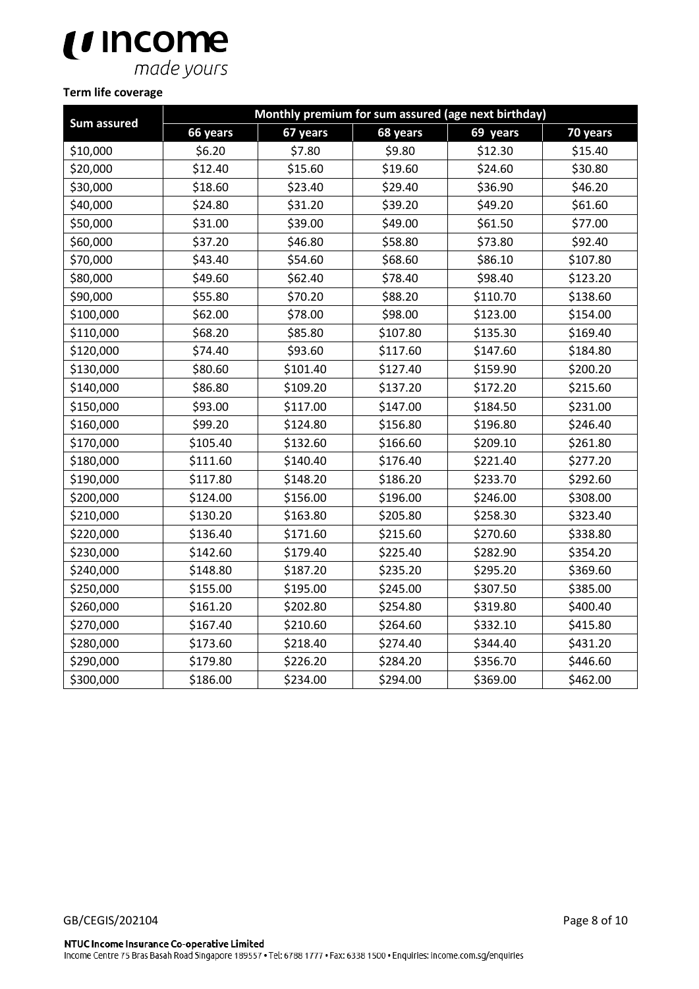# $\bigcup_{\text{made yours}}$

# **Term life coverage**

| Sum assured | Monthly premium for sum assured (age next birthday) |          |          |          |          |  |  |
|-------------|-----------------------------------------------------|----------|----------|----------|----------|--|--|
|             | 66 years                                            | 67 years | 68 years | 69 years | 70 years |  |  |
| \$10,000    | \$6.20                                              | \$7.80   | \$9.80   | \$12.30  | \$15.40  |  |  |
| \$20,000    | \$12.40                                             | \$15.60  | \$19.60  | \$24.60  | \$30.80  |  |  |
| \$30,000    | \$18.60                                             | \$23.40  | \$29.40  | \$36.90  | \$46.20  |  |  |
| \$40,000    | \$24.80                                             | \$31.20  | \$39.20  | \$49.20  | \$61.60  |  |  |
| \$50,000    | \$31.00                                             | \$39.00  | \$49.00  | \$61.50  | \$77.00  |  |  |
| \$60,000    | \$37.20                                             | \$46.80  | \$58.80  | \$73.80  | \$92.40  |  |  |
| \$70,000    | \$43.40                                             | \$54.60  | \$68.60  | \$86.10  | \$107.80 |  |  |
| \$80,000    | \$49.60                                             | \$62.40  | \$78.40  | \$98.40  | \$123.20 |  |  |
| \$90,000    | \$55.80                                             | \$70.20  | \$88.20  | \$110.70 | \$138.60 |  |  |
| \$100,000   | \$62.00                                             | \$78.00  | \$98.00  | \$123.00 | \$154.00 |  |  |
| \$110,000   | \$68.20                                             | \$85.80  | \$107.80 | \$135.30 | \$169.40 |  |  |
| \$120,000   | \$74.40                                             | \$93.60  | \$117.60 | \$147.60 | \$184.80 |  |  |
| \$130,000   | \$80.60                                             | \$101.40 | \$127.40 | \$159.90 | \$200.20 |  |  |
| \$140,000   | \$86.80                                             | \$109.20 | \$137.20 | \$172.20 | \$215.60 |  |  |
| \$150,000   | \$93.00                                             | \$117.00 | \$147.00 | \$184.50 | \$231.00 |  |  |
| \$160,000   | \$99.20                                             | \$124.80 | \$156.80 | \$196.80 | \$246.40 |  |  |
| \$170,000   | \$105.40                                            | \$132.60 | \$166.60 | \$209.10 | \$261.80 |  |  |
| \$180,000   | \$111.60                                            | \$140.40 | \$176.40 | \$221.40 | \$277.20 |  |  |
| \$190,000   | \$117.80                                            | \$148.20 | \$186.20 | \$233.70 | \$292.60 |  |  |
| \$200,000   | \$124.00                                            | \$156.00 | \$196.00 | \$246.00 | \$308.00 |  |  |
| \$210,000   | \$130.20                                            | \$163.80 | \$205.80 | \$258.30 | \$323.40 |  |  |
| \$220,000   | \$136.40                                            | \$171.60 | \$215.60 | \$270.60 | \$338.80 |  |  |
| \$230,000   | \$142.60                                            | \$179.40 | \$225.40 | \$282.90 | \$354.20 |  |  |
| \$240,000   | \$148.80                                            | \$187.20 | \$235.20 | \$295.20 | \$369.60 |  |  |
| \$250,000   | \$155.00                                            | \$195.00 | \$245.00 | \$307.50 | \$385.00 |  |  |
| \$260,000   | \$161.20                                            | \$202.80 | \$254.80 | \$319.80 | \$400.40 |  |  |
| \$270,000   | \$167.40                                            | \$210.60 | \$264.60 | \$332.10 | \$415.80 |  |  |
| \$280,000   | \$173.60                                            | \$218.40 | \$274.40 | \$344.40 | \$431.20 |  |  |
| \$290,000   | \$179.80                                            | \$226.20 | \$284.20 | \$356.70 | \$446.60 |  |  |
| \$300,000   | \$186.00                                            | \$234.00 | \$294.00 | \$369.00 | \$462.00 |  |  |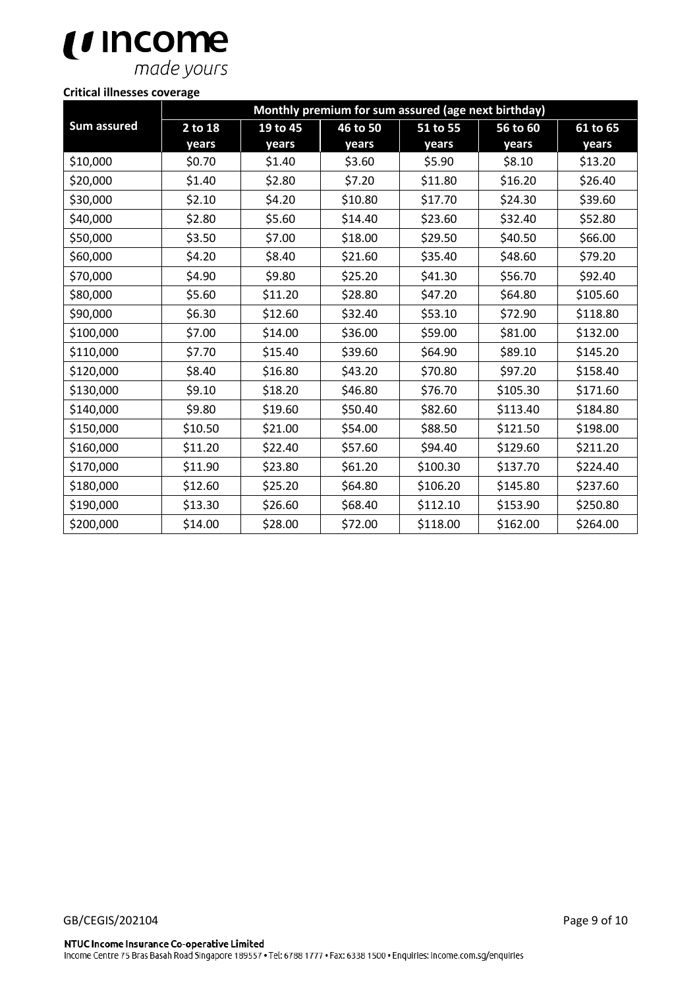# $\bigcup_{\text{made yours}}$

### **Critical illnesses coverage**

|             | Monthly premium for sum assured (age next birthday) |          |          |          |          |          |
|-------------|-----------------------------------------------------|----------|----------|----------|----------|----------|
| Sum assured | 2 to 18                                             | 19 to 45 | 46 to 50 | 51 to 55 | 56 to 60 | 61 to 65 |
|             | years                                               | years    | years    | years    | years    | years    |
| \$10,000    | \$0.70                                              | \$1.40   | \$3.60   | \$5.90   | \$8.10   | \$13.20  |
| \$20,000    | \$1.40                                              | \$2.80   | \$7.20   | \$11.80  | \$16.20  | \$26.40  |
| \$30,000    | \$2.10                                              | \$4.20   | \$10.80  | \$17.70  | \$24.30  | \$39.60  |
| \$40,000    | \$2.80                                              | \$5.60   | \$14.40  | \$23.60  | \$32.40  | \$52.80  |
| \$50,000    | \$3.50                                              | \$7.00   | \$18.00  | \$29.50  | \$40.50  | \$66.00  |
| \$60,000    | \$4.20                                              | \$8.40   | \$21.60  | \$35.40  | \$48.60  | \$79.20  |
| \$70,000    | \$4.90                                              | \$9.80   | \$25.20  | \$41.30  | \$56.70  | \$92.40  |
| \$80,000    | \$5.60                                              | \$11.20  | \$28.80  | \$47.20  | \$64.80  | \$105.60 |
| \$90,000    | \$6.30                                              | \$12.60  | \$32.40  | \$53.10  | \$72.90  | \$118.80 |
| \$100,000   | \$7.00                                              | \$14.00  | \$36.00  | \$59.00  | \$81.00  | \$132.00 |
| \$110,000   | \$7.70                                              | \$15.40  | \$39.60  | \$64.90  | \$89.10  | \$145.20 |
| \$120,000   | \$8.40                                              | \$16.80  | \$43.20  | \$70.80  | \$97.20  | \$158.40 |
| \$130,000   | \$9.10                                              | \$18.20  | \$46.80  | \$76.70  | \$105.30 | \$171.60 |
| \$140,000   | \$9.80                                              | \$19.60  | \$50.40  | \$82.60  | \$113.40 | \$184.80 |
| \$150,000   | \$10.50                                             | \$21.00  | \$54.00  | \$88.50  | \$121.50 | \$198.00 |
| \$160,000   | \$11.20                                             | \$22.40  | \$57.60  | \$94.40  | \$129.60 | \$211.20 |
| \$170,000   | \$11.90                                             | \$23.80  | \$61.20  | \$100.30 | \$137.70 | \$224.40 |
| \$180,000   | \$12.60                                             | \$25.20  | \$64.80  | \$106.20 | \$145.80 | \$237.60 |
| \$190,000   | \$13.30                                             | \$26.60  | \$68.40  | \$112.10 | \$153.90 | \$250.80 |
| \$200,000   | \$14.00                                             | \$28.00  | \$72.00  | \$118.00 | \$162.00 | \$264.00 |